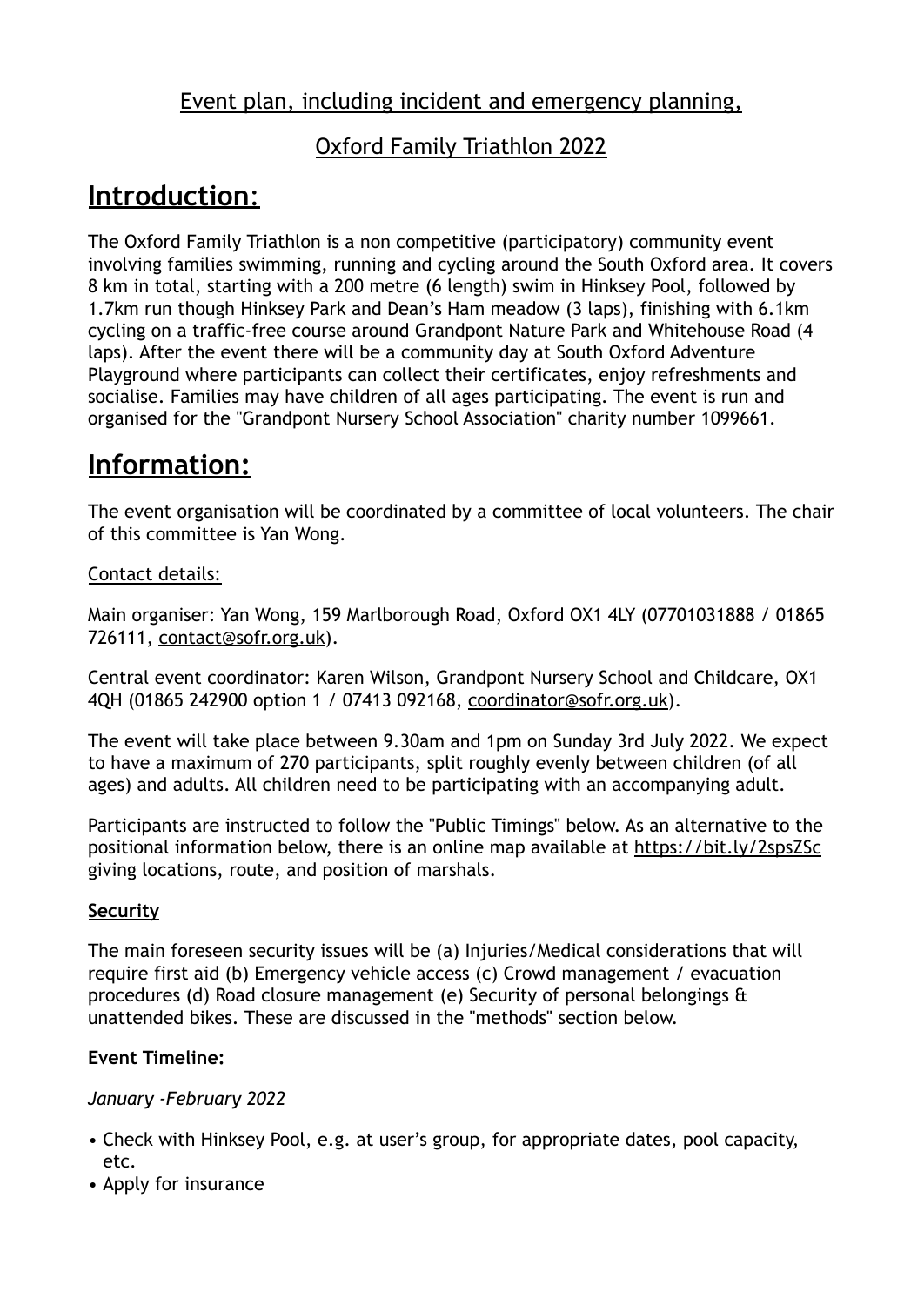### Event plan, including incident and emergency planning,

### Oxford Family Triathlon 2022

## **Introduction**:

The Oxford Family Triathlon is a non competitive (participatory) community event involving families swimming, running and cycling around the South Oxford area. It covers 8 km in total, starting with a 200 metre (6 length) swim in Hinksey Pool, followed by 1.7km run though Hinksey Park and Dean's Ham meadow (3 laps), finishing with 6.1km cycling on a traffic-free course around Grandpont Nature Park and Whitehouse Road (4 laps). After the event there will be a community day at South Oxford Adventure Playground where participants can collect their certificates, enjoy refreshments and socialise. Families may have children of all ages participating. The event is run and organised for the "Grandpont Nursery School Association" charity number 1099661.

### **Information:**

The event organisation will be coordinated by a committee of local volunteers. The chair of this committee is Yan Wong.

#### Contact details:

Main organiser: Yan Wong, 159 Marlborough Road, Oxford OX1 4LY (07701031888 / 01865 726111, [contact@sofr.org.uk\)](mailto:contact@sofr.org.uk).

Central event coordinator: Karen Wilson, Grandpont Nursery School and Childcare, OX1 4QH (01865 242900 option 1 / 07413 092168, [coordinator@sofr.org.uk\)](mailto:coordinator@sofr.org.uk).

The event will take place between 9.30am and 1pm on Sunday 3rd July 2022. We expect to have a maximum of 270 participants, split roughly evenly between children (of all ages) and adults. All children need to be participating with an accompanying adult.

Participants are instructed to follow the "Public Timings" below. As an alternative to the positional information below, there is an online map available at <https://bit.ly/2spsZSc> giving locations, route, and position of marshals.

#### **Security**

The main foreseen security issues will be (a) Injuries/Medical considerations that will require first aid (b) Emergency vehicle access (c) Crowd management / evacuation procedures (d) Road closure management (e) Security of personal belongings & unattended bikes. These are discussed in the "methods" section below.

#### **Event Timeline:**

#### *January -February 2022*

- Check with Hinksey Pool, e.g. at user's group, for appropriate dates, pool capacity, etc.
- Apply for insurance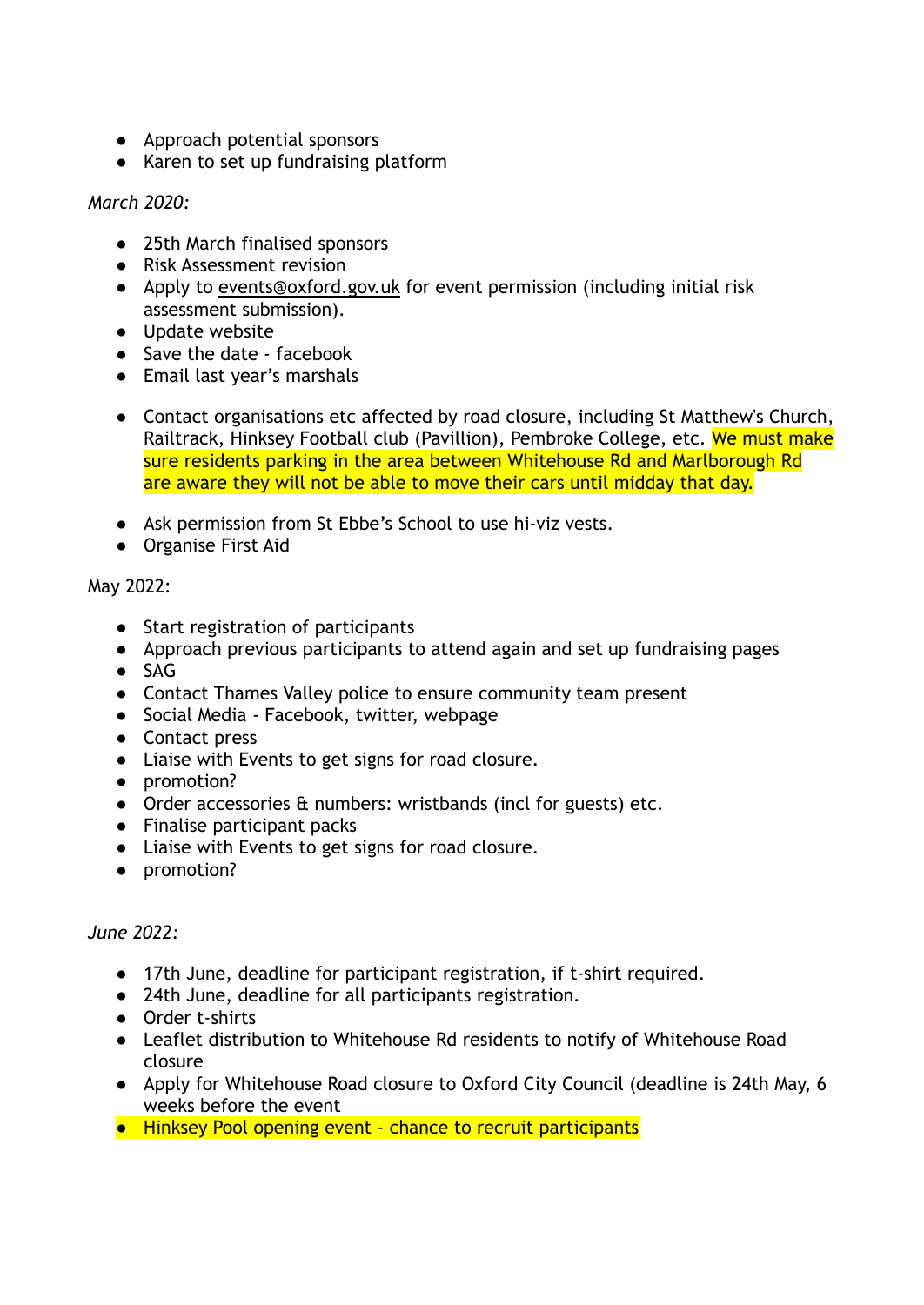- Approach potential sponsors
- Karen to set up fundraising platform

#### *March 2020:*

- 25th March finalised sponsors
- Risk Assessment revision
- Apply to [events@oxford.gov.uk](mailto:events@oxford.gov.uk) for event permission (including initial risk assessment submission).
- Update website
- Save the date facebook
- Email last year's marshals
- Contact organisations etc affected by road closure, including St Matthew's Church, Railtrack, Hinksey Football club (Pavillion), Pembroke College, etc. We must make sure residents parking in the area between Whitehouse Rd and Marlborough Rd are aware they will not be able to move their cars until midday that day.
- Ask permission from St Ebbe's School to use hi-viz vests.
- Organise First Aid

#### May 2022:

- Start registration of participants
- Approach previous participants to attend again and set up fundraising pages
- SAG
- Contact Thames Valley police to ensure community team present
- Social Media Facebook, twitter, webpage
- Contact press
- Liaise with Events to get signs for road closure.
- promotion?
- Order accessories & numbers: wristbands (incl for guests) etc.
- Finalise participant packs
- Liaise with Events to get signs for road closure.
- promotion?

#### *June 2022:*

- 17th June, deadline for participant registration, if t-shirt required.
- 24th June, deadline for all participants registration.
- Order t-shirts
- Leaflet distribution to Whitehouse Rd residents to notify of Whitehouse Road closure
- Apply for Whitehouse Road closure to Oxford City Council (deadline is 24th May, 6 weeks before the event
- Hinksey Pool opening event chance to recruit participants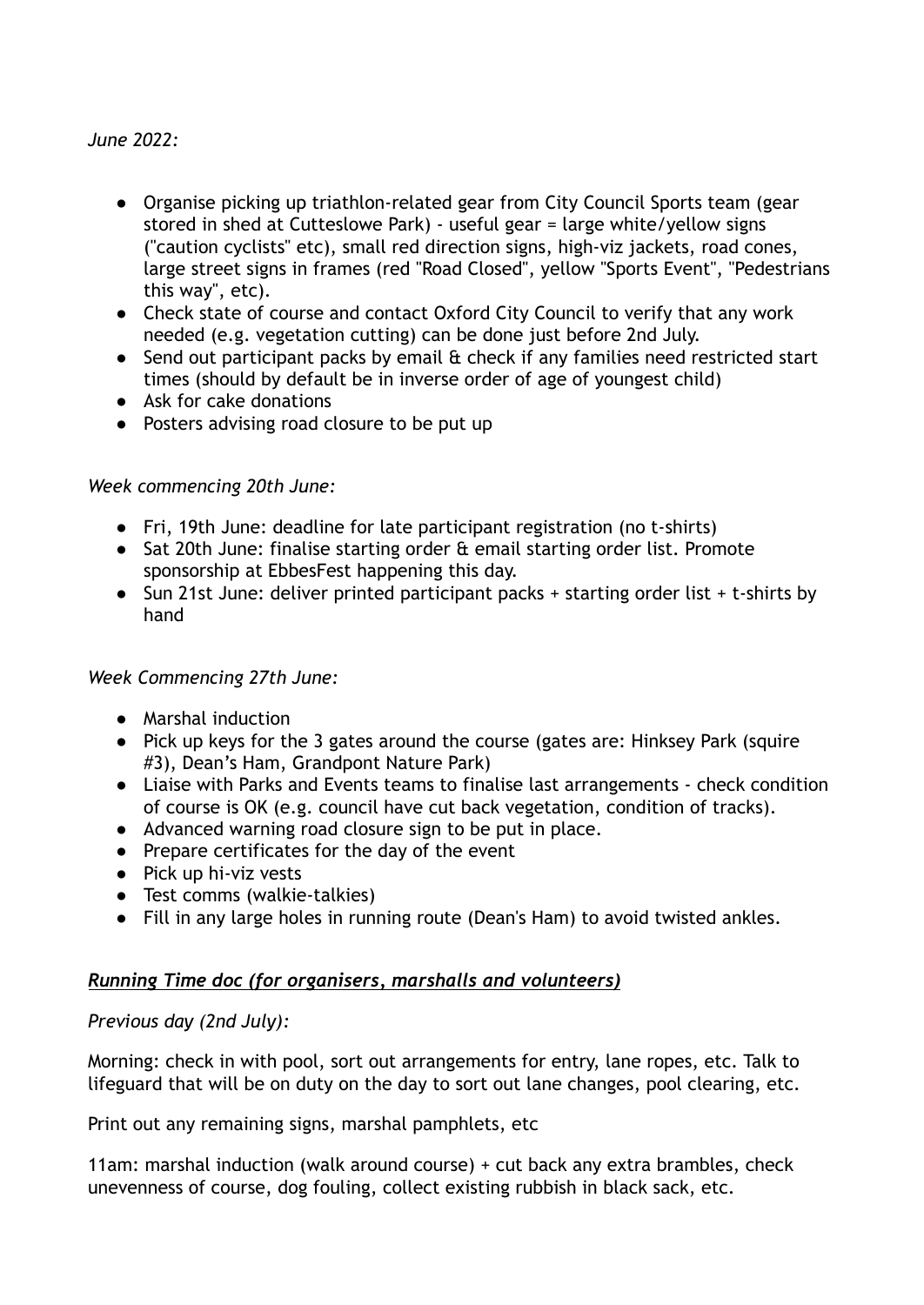#### *June 2022:*

- Organise picking up triathlon-related gear from City Council Sports team (gear stored in shed at Cutteslowe Park) - useful gear = large white/yellow signs ("caution cyclists" etc), small red direction signs, high-viz jackets, road cones, large street signs in frames (red "Road Closed", yellow "Sports Event", "Pedestrians this way", etc).
- Check state of course and contact Oxford City Council to verify that any work needed (e.g. vegetation cutting) can be done just before 2nd July.
- Send out participant packs by email & check if any families need restricted start times (should by default be in inverse order of age of youngest child)
- Ask for cake donations
- Posters advising road closure to be put up

#### *Week commencing 20th June:*

- Fri, 19th June: deadline for late participant registration (no t-shirts)
- Sat 20th June: finalise starting order & email starting order list. Promote sponsorship at EbbesFest happening this day.
- Sun 21st June: deliver printed participant packs + starting order list + t-shirts by hand

#### *Week Commencing 27th June:*

- Marshal induction
- Pick up keys for the 3 gates around the course (gates are: Hinksey Park (squire #3), Dean's Ham, Grandpont Nature Park)
- Liaise with Parks and Events teams to finalise last arrangements check condition of course is OK (e.g. council have cut back vegetation, condition of tracks).
- Advanced warning road closure sign to be put in place.
- Prepare certificates for the day of the event
- Pick up hi-viz vests
- Test comms (walkie-talkies)
- Fill in any large holes in running route (Dean's Ham) to avoid twisted ankles.

#### *Running Time doc (for organisers, marshalls and volunteers)*

#### *Previous day (2nd July):*

Morning: check in with pool, sort out arrangements for entry, lane ropes, etc. Talk to lifeguard that will be on duty on the day to sort out lane changes, pool clearing, etc.

Print out any remaining signs, marshal pamphlets, etc

11am: marshal induction (walk around course) + cut back any extra brambles, check unevenness of course, dog fouling, collect existing rubbish in black sack, etc.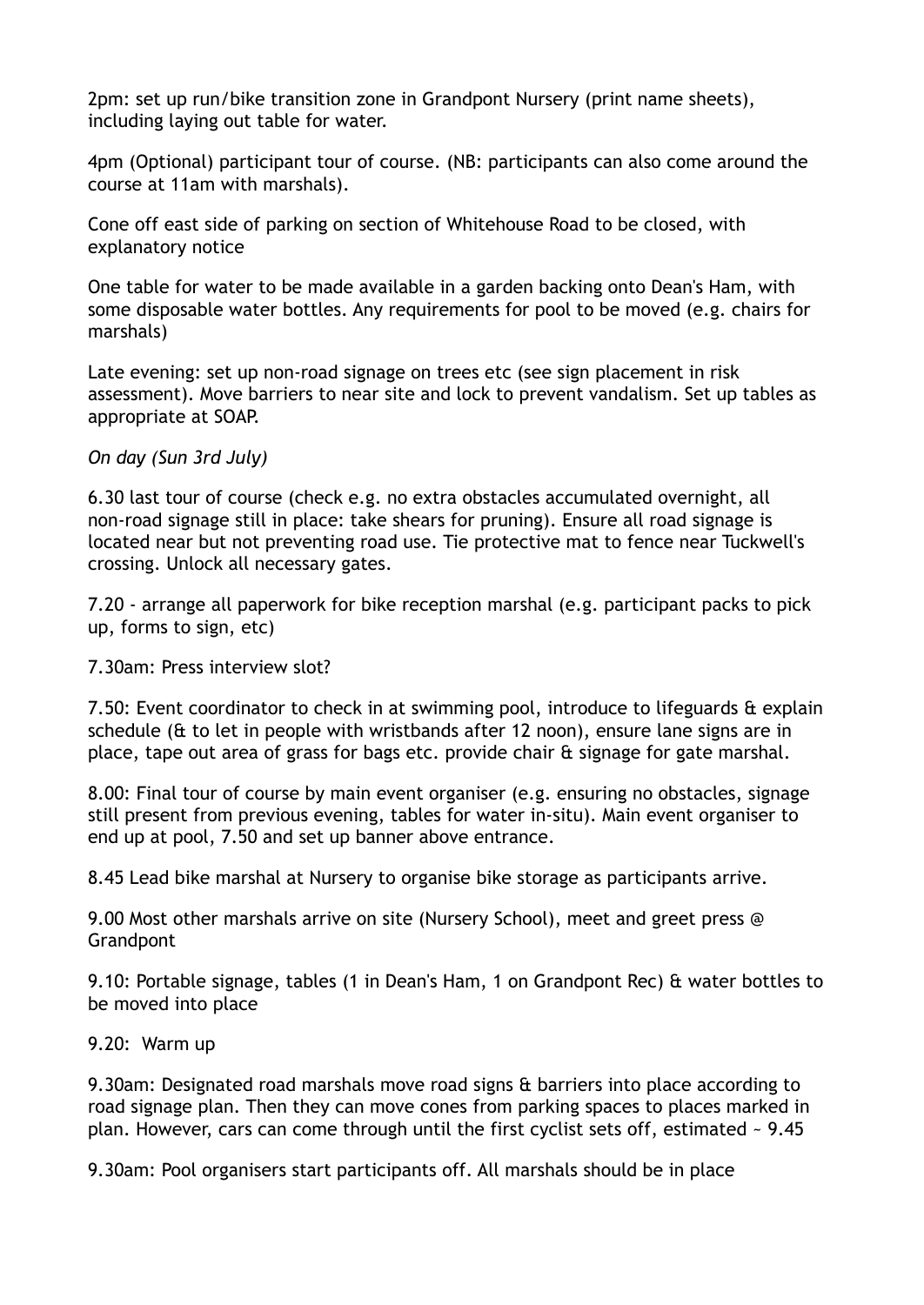2pm: set up run/bike transition zone in Grandpont Nursery (print name sheets), including laying out table for water.

4pm (Optional) participant tour of course. (NB: participants can also come around the course at 11am with marshals).

Cone off east side of parking on section of Whitehouse Road to be closed, with explanatory notice

One table for water to be made available in a garden backing onto Dean's Ham, with some disposable water bottles. Any requirements for pool to be moved (e.g. chairs for marshals)

Late evening: set up non-road signage on trees etc (see sign placement in risk assessment). Move barriers to near site and lock to prevent vandalism. Set up tables as appropriate at SOAP.

#### *On day (Sun 3rd July)*

6.30 last tour of course (check e.g. no extra obstacles accumulated overnight, all non-road signage still in place: take shears for pruning). Ensure all road signage is located near but not preventing road use. Tie protective mat to fence near Tuckwell's crossing. Unlock all necessary gates.

7.20 - arrange all paperwork for bike reception marshal (e.g. participant packs to pick up, forms to sign, etc)

7.30am: Press interview slot?

7.50: Event coordinator to check in at swimming pool, introduce to lifeguards & explain schedule (& to let in people with wristbands after 12 noon), ensure lane signs are in place, tape out area of grass for bags etc. provide chair & signage for gate marshal.

8.00: Final tour of course by main event organiser (e.g. ensuring no obstacles, signage still present from previous evening, tables for water in-situ). Main event organiser to end up at pool, 7.50 and set up banner above entrance.

8.45 Lead bike marshal at Nursery to organise bike storage as participants arrive.

9.00 Most other marshals arrive on site (Nursery School), meet and greet press @ **Grandpont** 

9.10: Portable signage, tables (1 in Dean's Ham, 1 on Grandpont Rec) & water bottles to be moved into place

9.20: Warm up

9.30am: Designated road marshals move road signs & barriers into place according to road signage plan. Then they can move cones from parking spaces to places marked in plan. However, cars can come through until the first cyclist sets off, estimated ~ 9.45

9.30am: Pool organisers start participants off. All marshals should be in place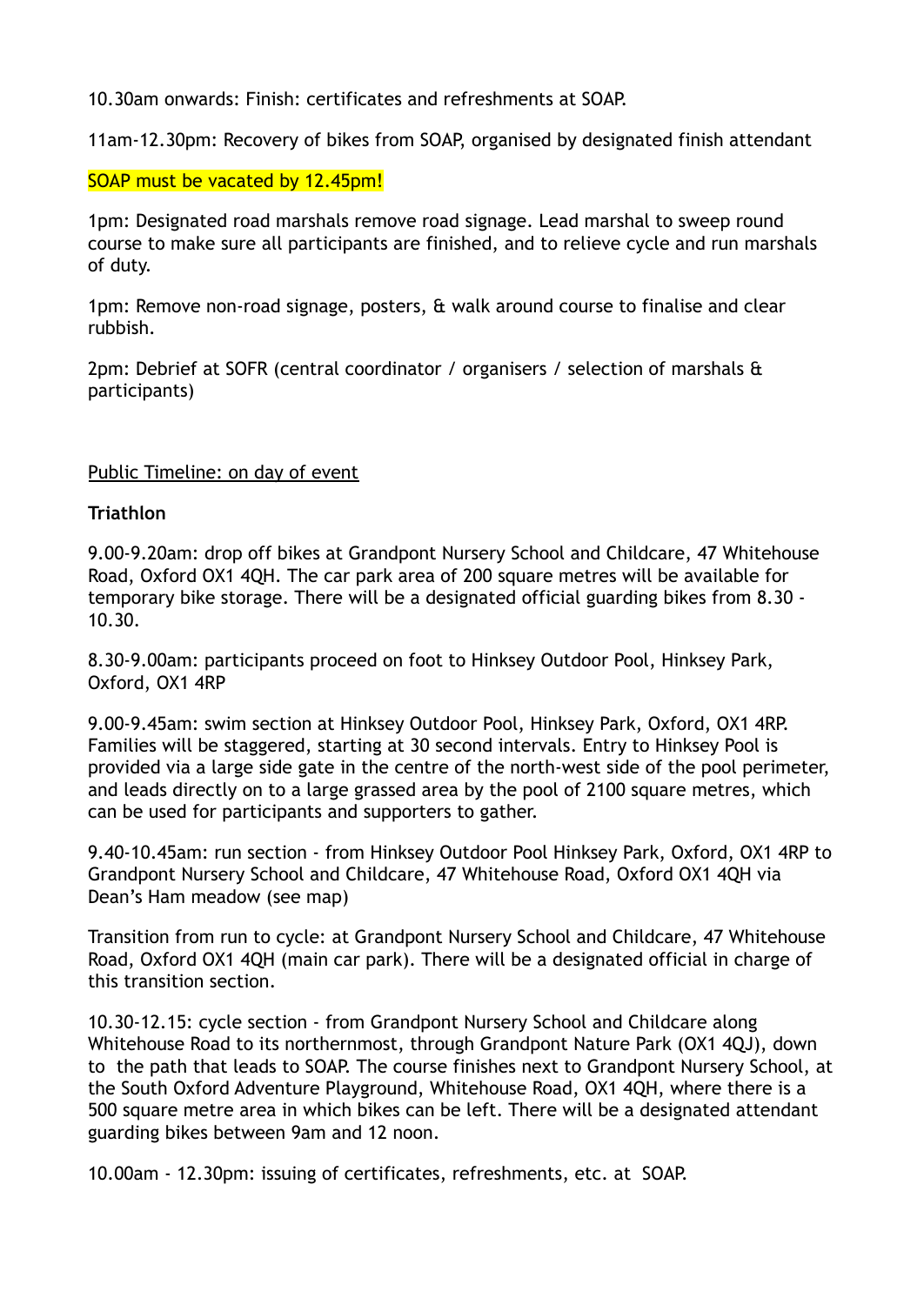10.30am onwards: Finish: certificates and refreshments at SOAP.

11am-12.30pm: Recovery of bikes from SOAP, organised by designated finish attendant

#### SOAP must be vacated by 12.45pm!

1pm: Designated road marshals remove road signage. Lead marshal to sweep round course to make sure all participants are finished, and to relieve cycle and run marshals of duty.

1pm: Remove non-road signage, posters, & walk around course to finalise and clear rubbish.

2pm: Debrief at SOFR (central coordinator / organisers / selection of marshals & participants)

#### Public Timeline: on day of event

#### **Triathlon**

9.00-9.20am: drop off bikes at Grandpont Nursery School and Childcare, 47 Whitehouse Road, Oxford OX1 4QH. The car park area of 200 square metres will be available for temporary bike storage. There will be a designated official guarding bikes from 8.30 - 10.30.

8.30-9.00am: participants proceed on foot to Hinksey Outdoor Pool, Hinksey Park, Oxford, OX1 4RP

9.00-9.45am: swim section at Hinksey Outdoor Pool, Hinksey Park, Oxford, OX1 4RP. Families will be staggered, starting at 30 second intervals. Entry to Hinksey Pool is provided via a large side gate in the centre of the north-west side of the pool perimeter, and leads directly on to a large grassed area by the pool of 2100 square metres, which can be used for participants and supporters to gather.

9.40-10.45am: run section - from Hinksey Outdoor Pool Hinksey Park, Oxford, OX1 4RP to Grandpont Nursery School and Childcare, 47 Whitehouse Road, Oxford OX1 4QH via Dean's Ham meadow (see map)

Transition from run to cycle: at Grandpont Nursery School and Childcare, 47 Whitehouse Road, Oxford OX1 4QH (main car park). There will be a designated official in charge of this transition section.

10.30-12.15: cycle section - from Grandpont Nursery School and Childcare along Whitehouse Road to its northernmost, through Grandpont Nature Park (OX1 4QJ), down to the path that leads to SOAP. The course finishes next to Grandpont Nursery School, at the South Oxford Adventure Playground, Whitehouse Road, OX1 4QH, where there is a 500 square metre area in which bikes can be left. There will be a designated attendant guarding bikes between 9am and 12 noon.

10.00am - 12.30pm: issuing of certificates, refreshments, etc. at SOAP.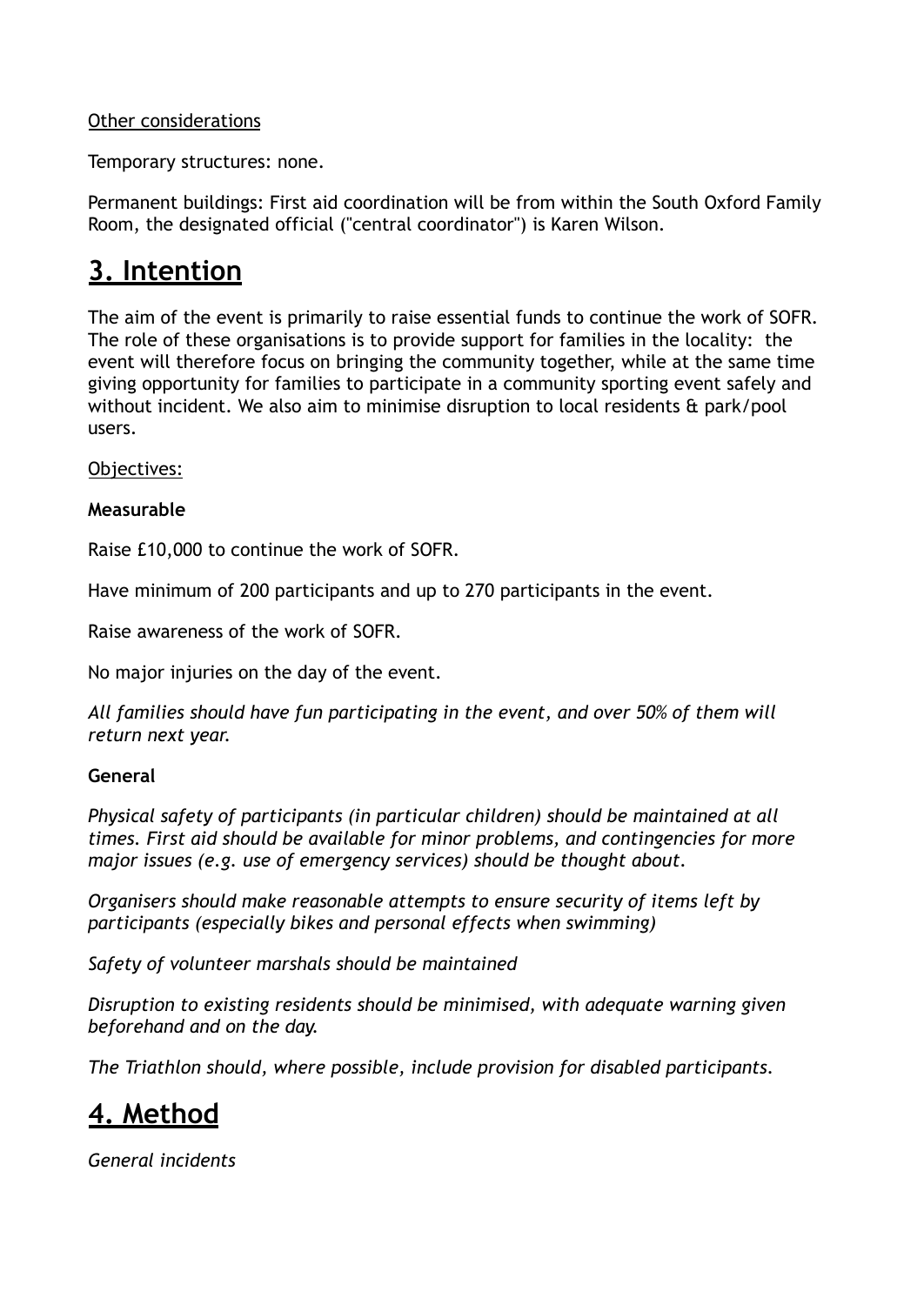#### Other considerations

Temporary structures: none.

Permanent buildings: First aid coordination will be from within the South Oxford Family Room, the designated official ("central coordinator") is Karen Wilson.

### **3. Intention**

The aim of the event is primarily to raise essential funds to continue the work of SOFR. The role of these organisations is to provide support for families in the locality: the event will therefore focus on bringing the community together, while at the same time giving opportunity for families to participate in a community sporting event safely and without incident. We also aim to minimise disruption to local residents & park/pool users.

Objectives:

#### **Measurable**

Raise £10,000 to continue the work of SOFR.

Have minimum of 200 participants and up to 270 participants in the event.

Raise awareness of the work of SOFR.

No major injuries on the day of the event.

*All families should have fun participating in the event, and over 50% of them will return next year.*

#### **General**

*Physical safety of participants (in particular children) should be maintained at all times. First aid should be available for minor problems, and contingencies for more major issues (e.g. use of emergency services) should be thought about.*

*Organisers should make reasonable attempts to ensure security of items left by participants (especially bikes and personal effects when swimming)*

*Safety of volunteer marshals should be maintained*

*Disruption to existing residents should be minimised, with adequate warning given beforehand and on the day.*

*The Triathlon should, where possible, include provision for disabled participants.*

### **4. Method**

*General incidents*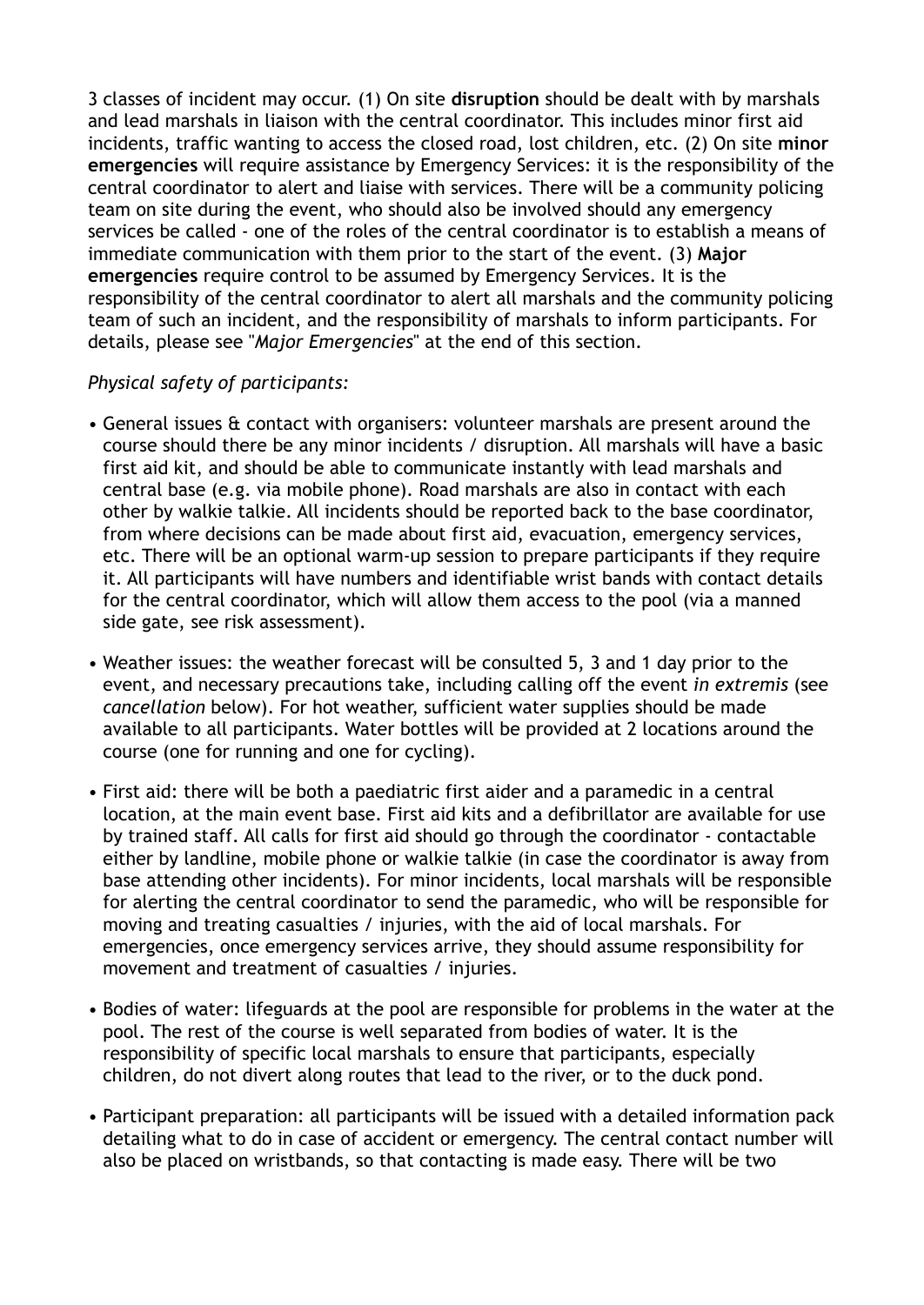3 classes of incident may occur. (1) On site **disruption** should be dealt with by marshals and lead marshals in liaison with the central coordinator. This includes minor first aid incidents, traffic wanting to access the closed road, lost children, etc. (2) On site **minor emergencies** will require assistance by Emergency Services: it is the responsibility of the central coordinator to alert and liaise with services. There will be a community policing team on site during the event, who should also be involved should any emergency services be called - one of the roles of the central coordinator is to establish a means of immediate communication with them prior to the start of the event. (3) **Major emergencies** require control to be assumed by Emergency Services. It is the responsibility of the central coordinator to alert all marshals and the community policing team of such an incident, and the responsibility of marshals to inform participants. For details, please see "*Major Emergencies*" at the end of this section.

#### *Physical safety of participants:*

- General issues & contact with organisers: volunteer marshals are present around the course should there be any minor incidents / disruption. All marshals will have a basic first aid kit, and should be able to communicate instantly with lead marshals and central base (e.g. via mobile phone). Road marshals are also in contact with each other by walkie talkie. All incidents should be reported back to the base coordinator, from where decisions can be made about first aid, evacuation, emergency services, etc. There will be an optional warm-up session to prepare participants if they require it. All participants will have numbers and identifiable wrist bands with contact details for the central coordinator, which will allow them access to the pool (via a manned side gate, see risk assessment).
- Weather issues: the weather forecast will be consulted 5, 3 and 1 day prior to the event, and necessary precautions take, including calling off the event *in extremis* (see *cancellation* below). For hot weather, sufficient water supplies should be made available to all participants. Water bottles will be provided at 2 locations around the course (one for running and one for cycling).
- First aid: there will be both a paediatric first aider and a paramedic in a central location, at the main event base. First aid kits and a defibrillator are available for use by trained staff. All calls for first aid should go through the coordinator - contactable either by landline, mobile phone or walkie talkie (in case the coordinator is away from base attending other incidents). For minor incidents, local marshals will be responsible for alerting the central coordinator to send the paramedic, who will be responsible for moving and treating casualties / injuries, with the aid of local marshals. For emergencies, once emergency services arrive, they should assume responsibility for movement and treatment of casualties / injuries.
- Bodies of water: lifeguards at the pool are responsible for problems in the water at the pool. The rest of the course is well separated from bodies of water. It is the responsibility of specific local marshals to ensure that participants, especially children, do not divert along routes that lead to the river, or to the duck pond.
- Participant preparation: all participants will be issued with a detailed information pack detailing what to do in case of accident or emergency. The central contact number will also be placed on wristbands, so that contacting is made easy. There will be two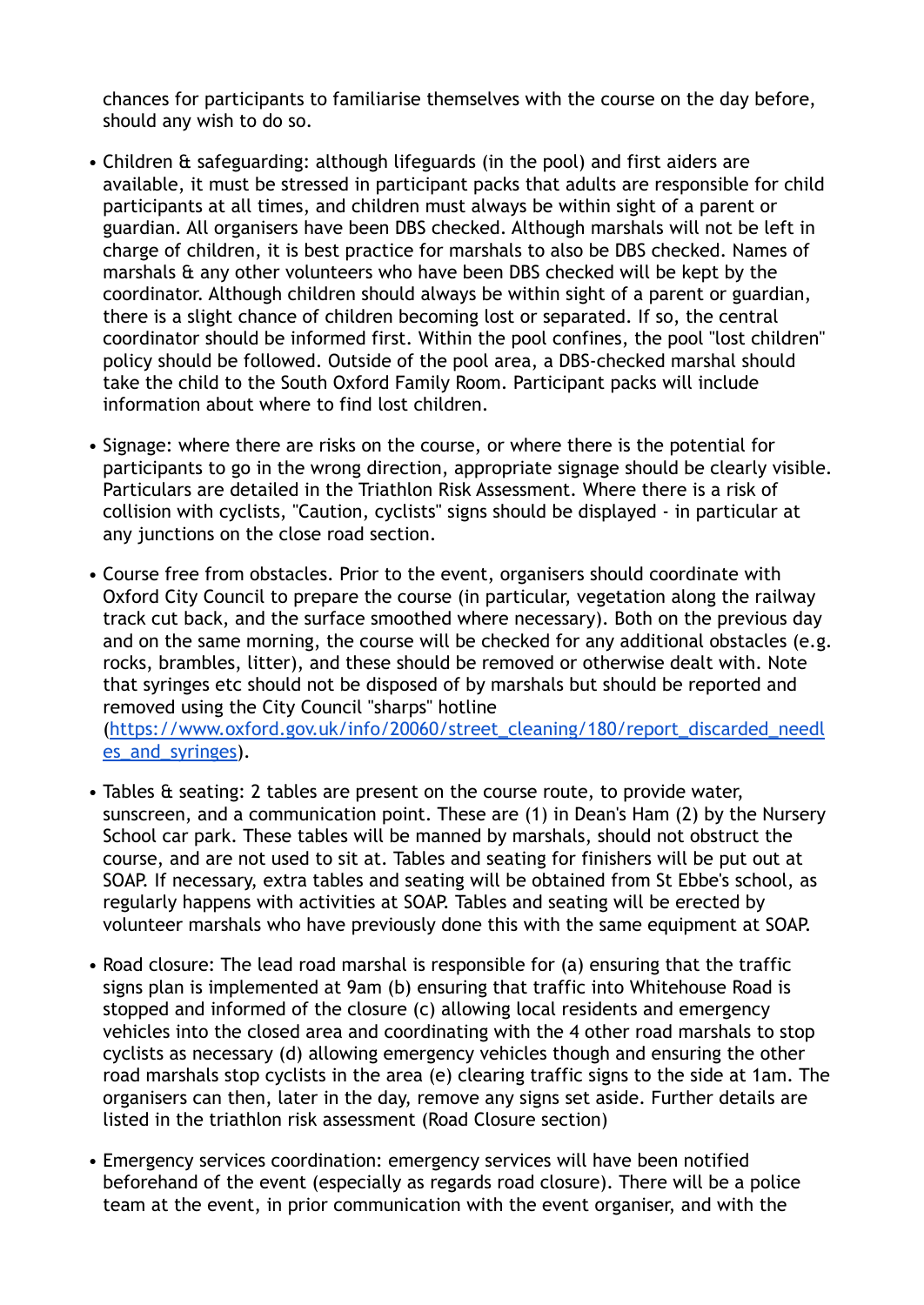chances for participants to familiarise themselves with the course on the day before, should any wish to do so.

- Children & safeguarding: although lifeguards (in the pool) and first aiders are available, it must be stressed in participant packs that adults are responsible for child participants at all times, and children must always be within sight of a parent or guardian. All organisers have been DBS checked. Although marshals will not be left in charge of children, it is best practice for marshals to also be DBS checked. Names of marshals & any other volunteers who have been DBS checked will be kept by the coordinator. Although children should always be within sight of a parent or guardian, there is a slight chance of children becoming lost or separated. If so, the central coordinator should be informed first. Within the pool confines, the pool "lost children" policy should be followed. Outside of the pool area, a DBS-checked marshal should take the child to the South Oxford Family Room. Participant packs will include information about where to find lost children.
- Signage: where there are risks on the course, or where there is the potential for participants to go in the wrong direction, appropriate signage should be clearly visible. Particulars are detailed in the Triathlon Risk Assessment. Where there is a risk of collision with cyclists, "Caution, cyclists" signs should be displayed - in particular at any junctions on the close road section.
- Course free from obstacles. Prior to the event, organisers should coordinate with Oxford City Council to prepare the course (in particular, vegetation along the railway track cut back, and the surface smoothed where necessary). Both on the previous day and on the same morning, the course will be checked for any additional obstacles (e.g. rocks, brambles, litter), and these should be removed or otherwise dealt with. Note that syringes etc should not be disposed of by marshals but should be reported and removed using the City Council "sharps" hotline ([https://www.oxford.gov.uk/info/20060/street\\_cleaning/180/report\\_discarded\\_needl](https://www.oxford.gov.uk/info/20060/street_cleaning/180/report_discarded_needles_and_syringes) [es\\_and\\_syringes\)](https://www.oxford.gov.uk/info/20060/street_cleaning/180/report_discarded_needles_and_syringes).
- Tables & seating: 2 tables are present on the course route, to provide water, sunscreen, and a communication point. These are (1) in Dean's Ham (2) by the Nursery School car park. These tables will be manned by marshals, should not obstruct the course, and are not used to sit at. Tables and seating for finishers will be put out at SOAP. If necessary, extra tables and seating will be obtained from St Ebbe's school, as regularly happens with activities at SOAP. Tables and seating will be erected by volunteer marshals who have previously done this with the same equipment at SOAP.
- Road closure: The lead road marshal is responsible for (a) ensuring that the traffic signs plan is implemented at 9am (b) ensuring that traffic into Whitehouse Road is stopped and informed of the closure (c) allowing local residents and emergency vehicles into the closed area and coordinating with the 4 other road marshals to stop cyclists as necessary (d) allowing emergency vehicles though and ensuring the other road marshals stop cyclists in the area (e) clearing traffic signs to the side at 1am. The organisers can then, later in the day, remove any signs set aside. Further details are listed in the triathlon risk assessment (Road Closure section)
- Emergency services coordination: emergency services will have been notified beforehand of the event (especially as regards road closure). There will be a police team at the event, in prior communication with the event organiser, and with the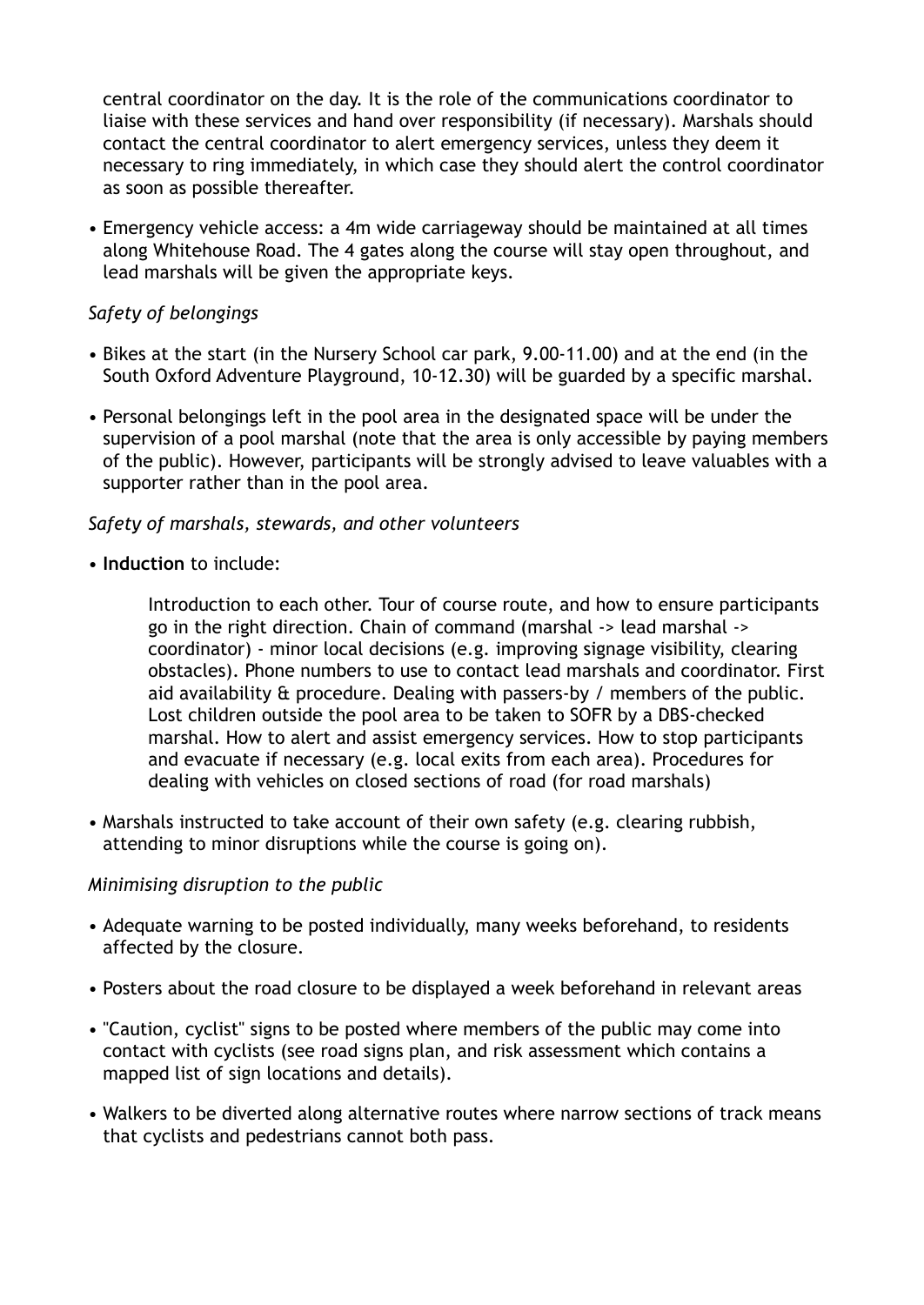central coordinator on the day. It is the role of the communications coordinator to liaise with these services and hand over responsibility (if necessary). Marshals should contact the central coordinator to alert emergency services, unless they deem it necessary to ring immediately, in which case they should alert the control coordinator as soon as possible thereafter.

• Emergency vehicle access: a 4m wide carriageway should be maintained at all times along Whitehouse Road. The 4 gates along the course will stay open throughout, and lead marshals will be given the appropriate keys.

#### *Safety of belongings*

- Bikes at the start (in the Nursery School car park, 9.00-11.00) and at the end (in the South Oxford Adventure Playground, 10-12.30) will be guarded by a specific marshal.
- Personal belongings left in the pool area in the designated space will be under the supervision of a pool marshal (note that the area is only accessible by paying members of the public). However, participants will be strongly advised to leave valuables with a supporter rather than in the pool area.

#### *Safety of marshals, stewards, and other volunteers*

• **Induction** to include:

Introduction to each other. Tour of course route, and how to ensure participants go in the right direction. Chain of command (marshal -> lead marshal -> coordinator) - minor local decisions (e.g. improving signage visibility, clearing obstacles). Phone numbers to use to contact lead marshals and coordinator. First aid availability & procedure. Dealing with passers-by / members of the public. Lost children outside the pool area to be taken to SOFR by a DBS-checked marshal. How to alert and assist emergency services. How to stop participants and evacuate if necessary (e.g. local exits from each area). Procedures for dealing with vehicles on closed sections of road (for road marshals)

• Marshals instructed to take account of their own safety (e.g. clearing rubbish, attending to minor disruptions while the course is going on).

#### *Minimising disruption to the public*

- Adequate warning to be posted individually, many weeks beforehand, to residents affected by the closure.
- Posters about the road closure to be displayed a week beforehand in relevant areas
- "Caution, cyclist" signs to be posted where members of the public may come into contact with cyclists (see road signs plan, and risk assessment which contains a mapped list of sign locations and details).
- Walkers to be diverted along alternative routes where narrow sections of track means that cyclists and pedestrians cannot both pass.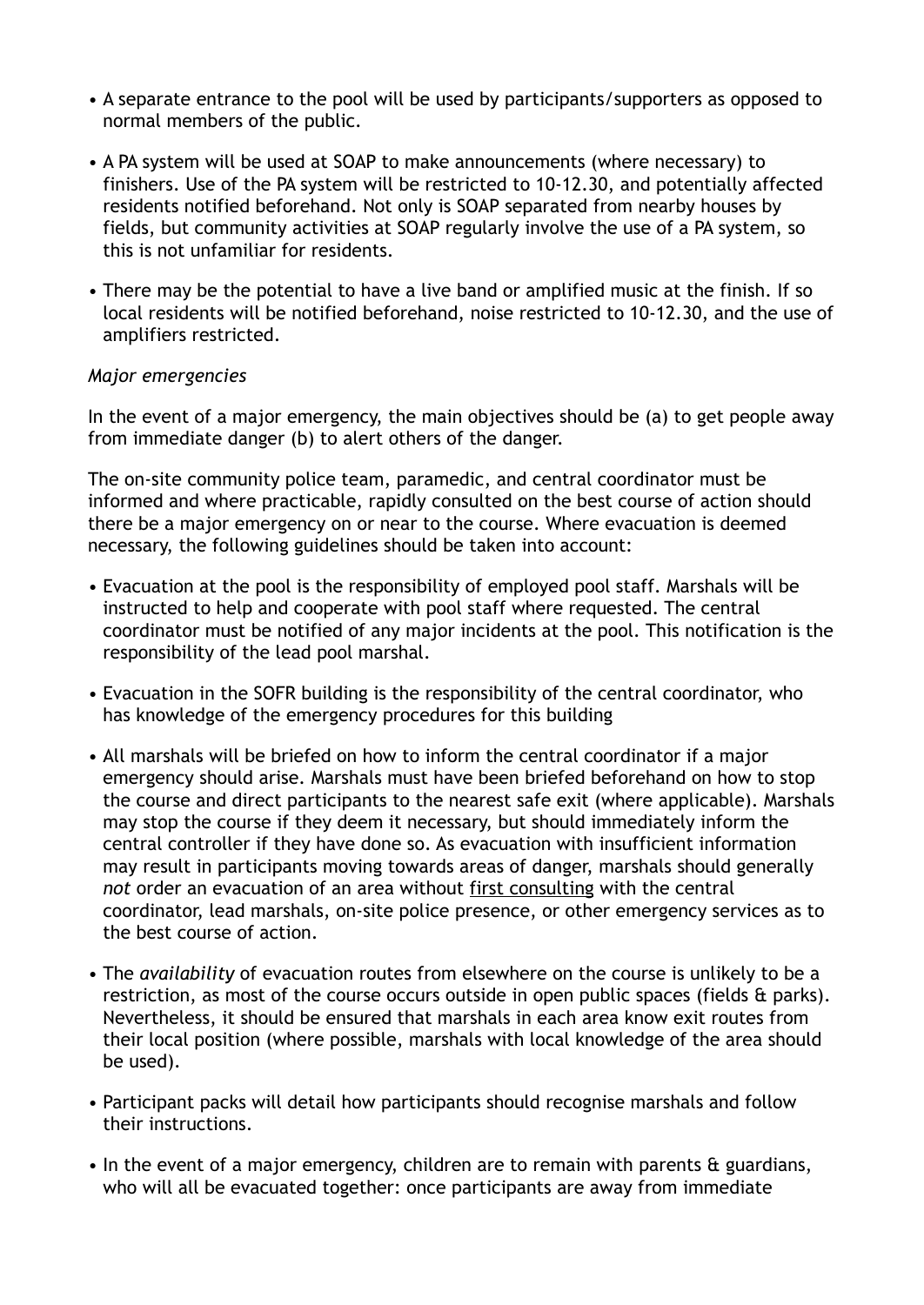- A separate entrance to the pool will be used by participants/supporters as opposed to normal members of the public.
- A PA system will be used at SOAP to make announcements (where necessary) to finishers. Use of the PA system will be restricted to 10-12.30, and potentially affected residents notified beforehand. Not only is SOAP separated from nearby houses by fields, but community activities at SOAP regularly involve the use of a PA system, so this is not unfamiliar for residents.
- There may be the potential to have a live band or amplified music at the finish. If so local residents will be notified beforehand, noise restricted to 10-12.30, and the use of amplifiers restricted.

#### *Major emergencies*

In the event of a major emergency, the main objectives should be (a) to get people away from immediate danger (b) to alert others of the danger.

The on-site community police team, paramedic, and central coordinator must be informed and where practicable, rapidly consulted on the best course of action should there be a major emergency on or near to the course. Where evacuation is deemed necessary, the following guidelines should be taken into account:

- Evacuation at the pool is the responsibility of employed pool staff. Marshals will be instructed to help and cooperate with pool staff where requested. The central coordinator must be notified of any major incidents at the pool. This notification is the responsibility of the lead pool marshal.
- Evacuation in the SOFR building is the responsibility of the central coordinator, who has knowledge of the emergency procedures for this building
- All marshals will be briefed on how to inform the central coordinator if a major emergency should arise. Marshals must have been briefed beforehand on how to stop the course and direct participants to the nearest safe exit (where applicable). Marshals may stop the course if they deem it necessary, but should immediately inform the central controller if they have done so. As evacuation with insufficient information may result in participants moving towards areas of danger, marshals should generally *not* order an evacuation of an area without first consulting with the central coordinator, lead marshals, on-site police presence, or other emergency services as to the best course of action.
- The *availability* of evacuation routes from elsewhere on the course is unlikely to be a restriction, as most of the course occurs outside in open public spaces (fields & parks). Nevertheless, it should be ensured that marshals in each area know exit routes from their local position (where possible, marshals with local knowledge of the area should be used).
- Participant packs will detail how participants should recognise marshals and follow their instructions.
- In the event of a major emergency, children are to remain with parents & guardians, who will all be evacuated together: once participants are away from immediate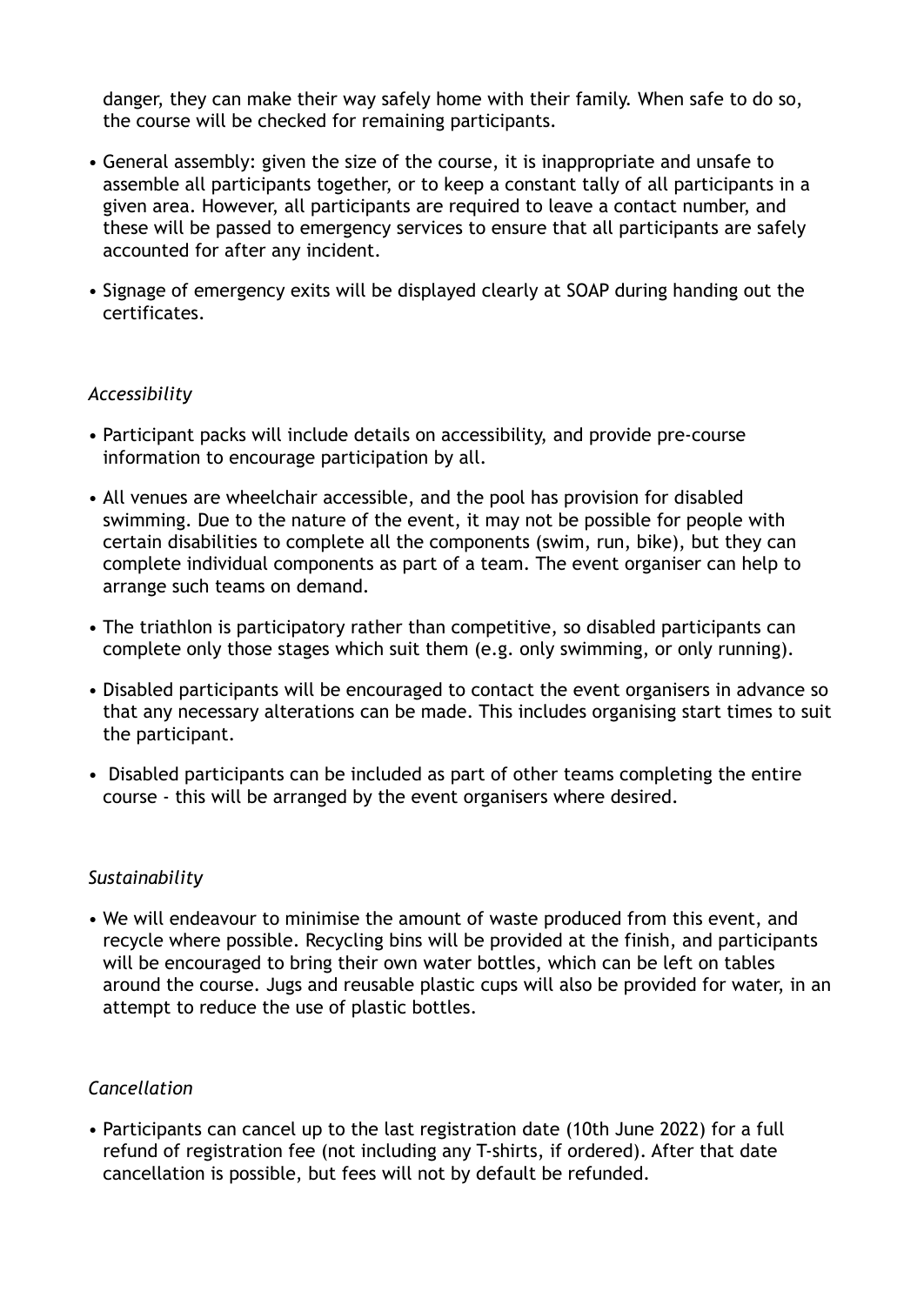danger, they can make their way safely home with their family. When safe to do so, the course will be checked for remaining participants.

- General assembly: given the size of the course, it is inappropriate and unsafe to assemble all participants together, or to keep a constant tally of all participants in a given area. However, all participants are required to leave a contact number, and these will be passed to emergency services to ensure that all participants are safely accounted for after any incident.
- Signage of emergency exits will be displayed clearly at SOAP during handing out the certificates.

#### *Accessibility*

- Participant packs will include details on accessibility, and provide pre-course information to encourage participation by all.
- All venues are wheelchair accessible, and the pool has provision for disabled swimming. Due to the nature of the event, it may not be possible for people with certain disabilities to complete all the components (swim, run, bike), but they can complete individual components as part of a team. The event organiser can help to arrange such teams on demand.
- The triathlon is participatory rather than competitive, so disabled participants can complete only those stages which suit them (e.g. only swimming, or only running).
- Disabled participants will be encouraged to contact the event organisers in advance so that any necessary alterations can be made. This includes organising start times to suit the participant.
- Disabled participants can be included as part of other teams completing the entire course - this will be arranged by the event organisers where desired.

#### *Sustainability*

• We will endeavour to minimise the amount of waste produced from this event, and recycle where possible. Recycling bins will be provided at the finish, and participants will be encouraged to bring their own water bottles, which can be left on tables around the course. Jugs and reusable plastic cups will also be provided for water, in an attempt to reduce the use of plastic bottles.

#### *Cancellation*

• Participants can cancel up to the last registration date (10th June 2022) for a full refund of registration fee (not including any T-shirts, if ordered). After that date cancellation is possible, but fees will not by default be refunded.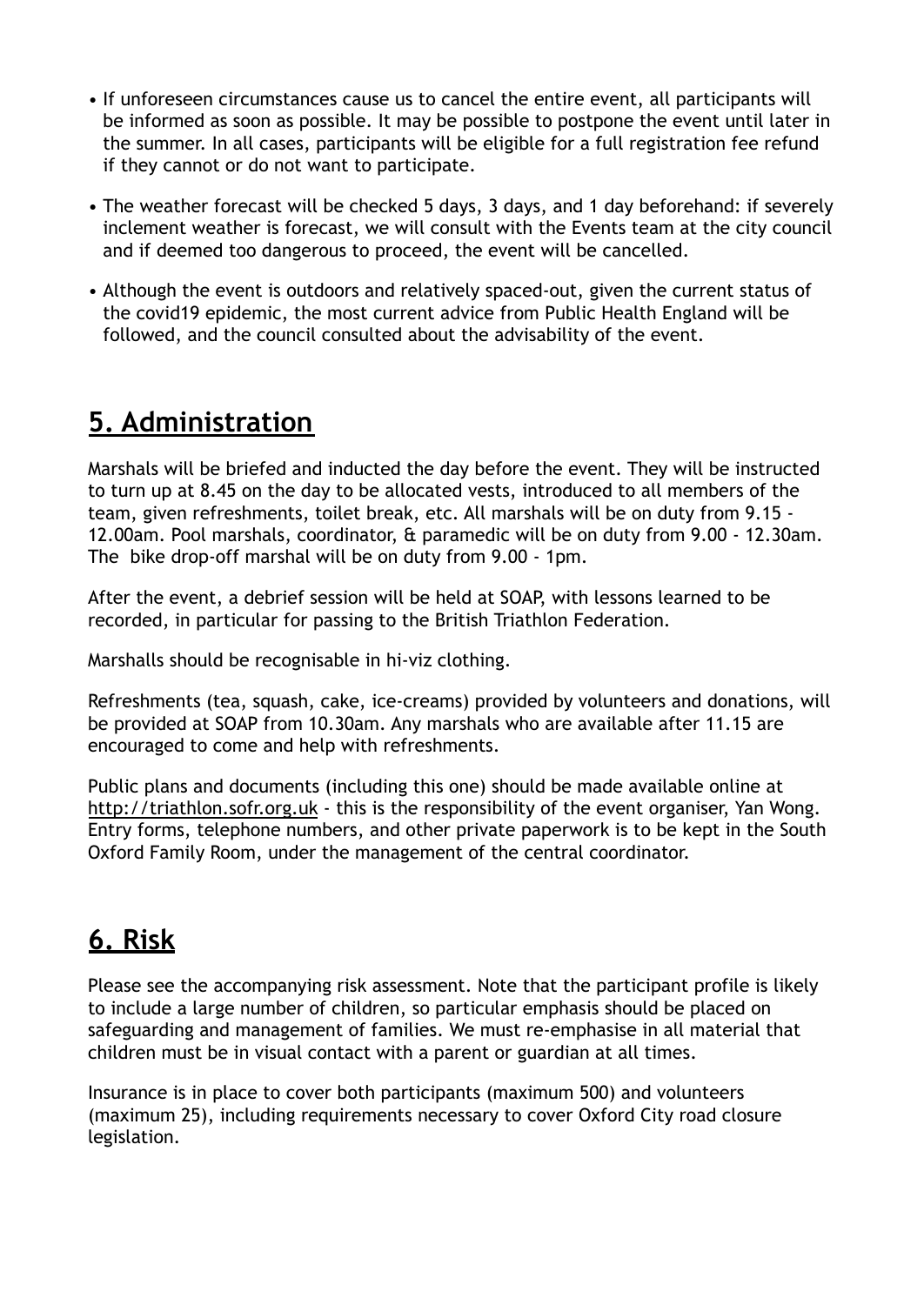- If unforeseen circumstances cause us to cancel the entire event, all participants will be informed as soon as possible. It may be possible to postpone the event until later in the summer. In all cases, participants will be eligible for a full registration fee refund if they cannot or do not want to participate.
- The weather forecast will be checked 5 days, 3 days, and 1 day beforehand: if severely inclement weather is forecast, we will consult with the Events team at the city council and if deemed too dangerous to proceed, the event will be cancelled.
- Although the event is outdoors and relatively spaced-out, given the current status of the covid19 epidemic, the most current advice from Public Health England will be followed, and the council consulted about the advisability of the event.

### **5. Administration**

Marshals will be briefed and inducted the day before the event. They will be instructed to turn up at 8.45 on the day to be allocated vests, introduced to all members of the team, given refreshments, toilet break, etc. All marshals will be on duty from 9.15 - 12.00am. Pool marshals, coordinator, & paramedic will be on duty from 9.00 - 12.30am. The bike drop-off marshal will be on duty from 9.00 - 1pm.

After the event, a debrief session will be held at SOAP, with lessons learned to be recorded, in particular for passing to the British Triathlon Federation.

Marshalls should be recognisable in hi-viz clothing.

Refreshments (tea, squash, cake, ice-creams) provided by volunteers and donations, will be provided at SOAP from 10.30am. Any marshals who are available after 11.15 are encouraged to come and help with refreshments.

Public plans and documents (including this one) should be made available online at <http://triathlon.sofr.org.uk> - this is the responsibility of the event organiser, Yan Wong. Entry forms, telephone numbers, and other private paperwork is to be kept in the South Oxford Family Room, under the management of the central coordinator.

### **6. Risk**

Please see the accompanying risk assessment. Note that the participant profile is likely to include a large number of children, so particular emphasis should be placed on safeguarding and management of families. We must re-emphasise in all material that children must be in visual contact with a parent or guardian at all times.

Insurance is in place to cover both participants (maximum 500) and volunteers (maximum 25), including requirements necessary to cover Oxford City road closure legislation.